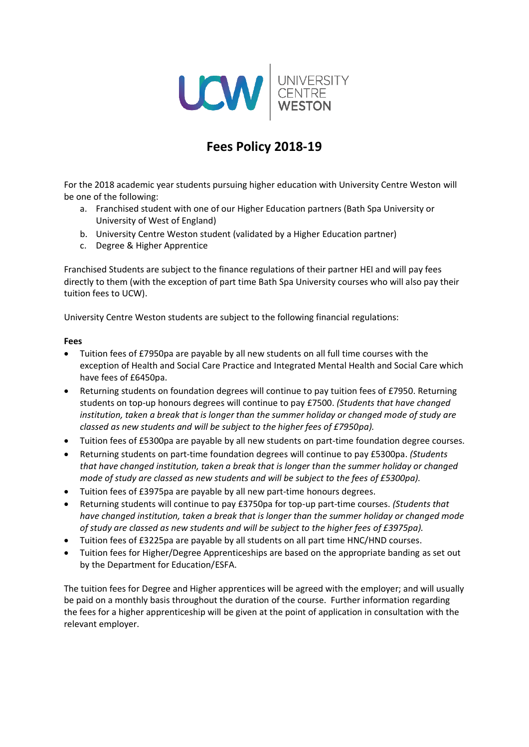

# **Fees Policy 2018-19**

For the 2018 academic year students pursuing higher education with University Centre Weston will be one of the following:

- a. Franchised student with one of our Higher Education partners (Bath Spa University or University of West of England)
- b. University Centre Weston student (validated by a Higher Education partner)
- c. Degree & Higher Apprentice

Franchised Students are subject to the finance regulations of their partner HEI and will pay fees directly to them (with the exception of part time Bath Spa University courses who will also pay their tuition fees to UCW).

University Centre Weston students are subject to the following financial regulations:

#### **Fees**

- Tuition fees of £7950pa are payable by all new students on all full time courses with the exception of Health and Social Care Practice and Integrated Mental Health and Social Care which have fees of £6450pa.
- Returning students on foundation degrees will continue to pay tuition fees of £7950. Returning students on top-up honours degrees will continue to pay £7500. *(Students that have changed institution, taken a break that is longer than the summer holiday or changed mode of study are classed as new students and will be subject to the higher fees of £7950pa).*
- Tuition fees of £5300pa are payable by all new students on part-time foundation degree courses.
- Returning students on part-time foundation degrees will continue to pay £5300pa. *(Students that have changed institution, taken a break that is longer than the summer holiday or changed mode of study are classed as new students and will be subject to the fees of £5300pa).*
- Tuition fees of £3975pa are payable by all new part-time honours degrees.
- Returning students will continue to pay £3750pa for top-up part-time courses. *(Students that have changed institution, taken a break that is longer than the summer holiday or changed mode of study are classed as new students and will be subject to the higher fees of £3975pa).*
- Tuition fees of £3225pa are payable by all students on all part time HNC/HND courses.
- Tuition fees for Higher/Degree Apprenticeships are based on the appropriate banding as set out by the Department for Education/ESFA.

The tuition fees for Degree and Higher apprentices will be agreed with the employer; and will usually be paid on a monthly basis throughout the duration of the course. Further information regarding the fees for a higher apprenticeship will be given at the point of application in consultation with the relevant employer.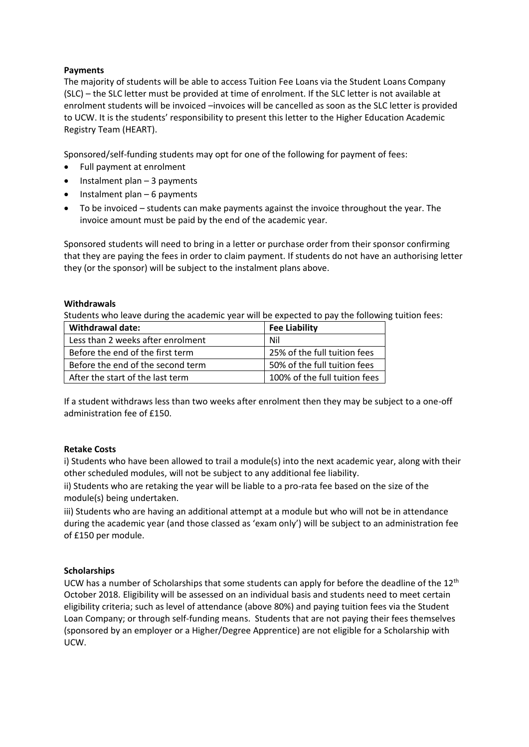## **Payments**

The majority of students will be able to access Tuition Fee Loans via the Student Loans Company (SLC) – the SLC letter must be provided at time of enrolment. If the SLC letter is not available at enrolment students will be invoiced –invoices will be cancelled as soon as the SLC letter is provided to UCW. It is the students' responsibility to present this letter to the Higher Education Academic Registry Team (HEART).

Sponsored/self-funding students may opt for one of the following for payment of fees:

- Full payment at enrolment
- Instalment plan 3 payments
- $\bullet$  Instalment plan 6 payments
- To be invoiced students can make payments against the invoice throughout the year. The invoice amount must be paid by the end of the academic year.

Sponsored students will need to bring in a letter or purchase order from their sponsor confirming that they are paying the fees in order to claim payment. If students do not have an authorising letter they (or the sponsor) will be subject to the instalment plans above.

### **Withdrawals**

Students who leave during the academic year will be expected to pay the following tuition fees:

| Withdrawal date:                  | <b>Fee Liability</b>          |
|-----------------------------------|-------------------------------|
| Less than 2 weeks after enrolment | Nil                           |
| Before the end of the first term  | 25% of the full tuition fees  |
| Before the end of the second term | 50% of the full tuition fees  |
| After the start of the last term  | 100% of the full tuition fees |

If a student withdraws less than two weeks after enrolment then they may be subject to a one-off administration fee of £150.

### **Retake Costs**

i) Students who have been allowed to trail a module(s) into the next academic year, along with their other scheduled modules, will not be subject to any additional fee liability.

ii) Students who are retaking the year will be liable to a pro-rata fee based on the size of the module(s) being undertaken.

iii) Students who are having an additional attempt at a module but who will not be in attendance during the academic year (and those classed as 'exam only') will be subject to an administration fee of £150 per module.

### **Scholarships**

UCW has a number of Scholarships that some students can apply for before the deadline of the 12<sup>th</sup> October 2018. Eligibility will be assessed on an individual basis and students need to meet certain eligibility criteria; such as level of attendance (above 80%) and paying tuition fees via the Student Loan Company; or through self-funding means. Students that are not paying their fees themselves (sponsored by an employer or a Higher/Degree Apprentice) are not eligible for a Scholarship with UCW.